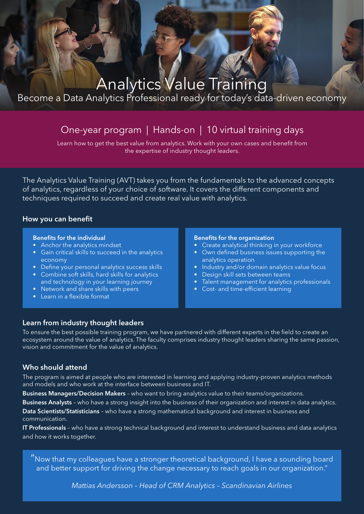# Analytics Value Training

Become a Data Analytics Professional ready for today's data-driven economy

## One-year program | Hands-on | 10 virtual training days

Learn how to get the best value from analytics. Work with your own cases and benefit from the expertise of industry thought leaders.

The Analytics Value Training (AVT) takes you from the fundamentals to the advanced concepts of analytics, regardless of your choice of software. It covers the different components and techniques required to succeed and create real value with analytics.

#### How you can benefit

#### Benefits for the individual

- Anchor the analytics mindset
- Gain critical skills to succeed in the analytics economy
- Define your personal analytics success skills
- Combine soft skills, hard skills for analytics and technology in your learning journey
- Network and share skills with peers
- Learn in a flexible format

#### Benefits for the organization

- Create analytical thinking in your workforce
- Own defined business issues supporting the analytics operation
- Industry and/or domain analytics value focus
- Design skill sets between teams
- Talent management for analytics professionals
- Cost- and time-efficient learning

#### Learn from industry thought leaders

To ensure the best possible training program, we have partnered with different experts in the field to create an ecosystem around the value of analytics. The faculty comprises industry thought leaders sharing the same passion, vision and commitment for the value of analytics.

#### Who should attend

The program is aimed at people who are interested in learning and applying industry-proven analytics methods and models and who work at the interface between business and IT.

Business Managers/Decision Makers - who want to bring analytics value to their teams/organizations.

Business Analysts - who have a strong insight into the business of their organization and interest in data analytics.

Data Scientists/Statisticians - who have a strong mathematical background and interest in business and communication.

IT Professionals - who have a strong technical background and interest to understand business and data analytics and how it works together.

"Now that my colleagues have a stronger theoretical background, I have a sounding board and better support for driving the change necessary to reach goals in our organization."

*Mattias Andersson – Head of CRM Analytics – Scandinavian Airlines*